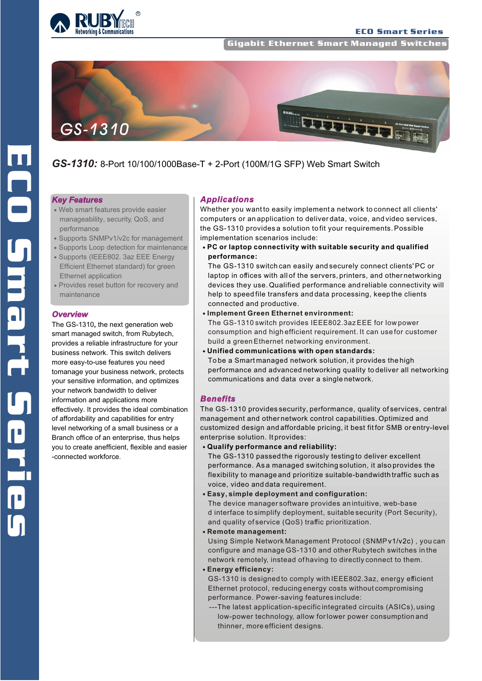

**Gigabit Ethernet Smart Managed Switche** 



# *GS-1310:* 8-Port 10/100/1000Base-T + 2-Port (100M/1G SFP) Web Smart Switch

#### *Key Features*

- Web smart features provide easier manageability, security, QoS, and performance
- Supports SNMPv1/v2c for management
- Supports Loop detection for maintenance
- Supports (IEEE802. 3az EEE Energy Efficient Ethernet standard) for green Ethernet application
- Provides reset button for recovery and maintenance

#### *Overview*

The GS-1310**,** the next generation web smart managed switch, from Rubytech, provides a reliable infrastructure for your business network. This switch delivers more easy-to-use features you need tomanage your business network, protects your sensitive information, and optimizes your network bandwidth to deliver information and applications more effectively. It provides the ideal combination of affordability and capabilities for entry level networking of a small business or a Branch office of an enterprise, thus helps you to create anefficient, flexible and easier -connected workforce.

#### *Applications*

Whether you want to easily implement a network to connect all clients' computers or an application to deliver data, voice, and video services, the GS-1310 provides a solution to fit your requirements. Possible implementation scenarios include:

**PC or laptop connectivity with suitable security and qualified performance:** 

The GS-1310 switch can easily and securely connect clients' PC or laptop in offices with all of the servers, printers, and other networking devices they use. Qualified performance and reliable connectivity will help to speed file transfers and data processing, keep the clients connected and productive.

- **Implement Green Ethernet environment:** The GS-1310 switch provides IEEE802.3az EEE for low power consumption and high efficient requirement. It can use for customer build a green Ethernet networking environment.
- **Unified communications with open standards:** To be a Smart managed network solution, it provides the high performance and advanced networking quality to deliver all networking communications and data over a single network.

#### *Benefits*

The GS-1310 provides security, performance, quality of services, central management and other network control capabilities. Optimized and customized design and affordable pricing, it best fit for SMB or entry-level enterprise solution. It provides:

**Qualify performance and reliability:** 

The GS-1310 passed the rigorously testing to deliver excellent performance. As a managed switching solution, it also provides the flexibility to manage and prioritize suitable-bandwidth traffic such as voice, video and data requirement.

**Easy, simple deployment and configuration:** 

The device manager software provides an intuitive, web-base d interface to simplify deployment, suitable security (Port Security), and quality of service (QoS) traffic prioritization.

**Remote management:**

 Using Simple Network Management Protocol (SNMPv1/v2c) , you can configure and manage GS-1310 and other Rubytech switches in the network remotely, instead of having to directly connect to them. **Energy efficiency:** 

GS-1310 is designed to comply with IEEE802.3az, energy efficient Ethernet protocol, reducing energy costs without compromising performance. Power-saving features include:

 ---The latest application-specific integrated circuits (ASICs), using low-power technology, allow for lower power consumption and thinner, more efficient designs.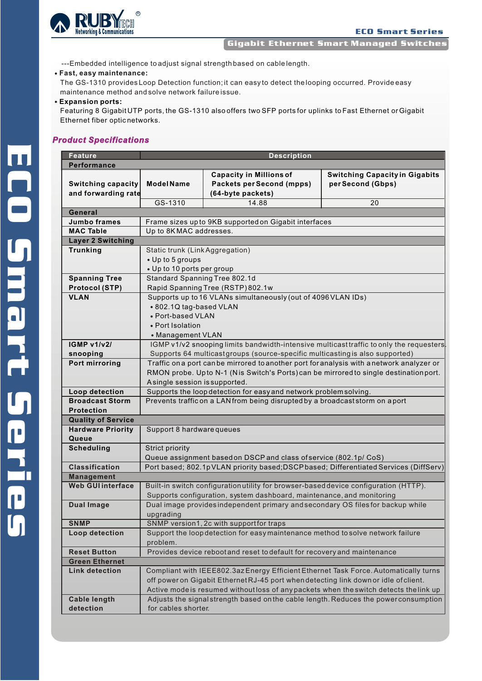

Gigabit Ethernet Smart Managed Switches

---Embedded intelligence to adjust signal strength based on cable length.

#### **Fast, easy maintenance:**

The GS-1310 provides Loop Detection function; it can easy to detect the looping occurred. Provide easy maintenance method and solve network failure issue.

#### **Expansion ports:**

Featuring 8 Gigabit UTP ports, the GS-1310 also offers two SFP ports for uplinks to Fast Ethernet or Gigabit Ethernet fiber optic networks.

## *Product Specifications*

| <b>Feature</b>                           | <b>Description</b>                                                                                                                               |                                                                                        |                                                                                      |  |  |  |  |  |  |
|------------------------------------------|--------------------------------------------------------------------------------------------------------------------------------------------------|----------------------------------------------------------------------------------------|--------------------------------------------------------------------------------------|--|--|--|--|--|--|
| Performance                              |                                                                                                                                                  |                                                                                        |                                                                                      |  |  |  |  |  |  |
|                                          |                                                                                                                                                  | <b>Capacity in Millions of</b>                                                         | <b>Switching Capacity in Gigabits</b>                                                |  |  |  |  |  |  |
| <b>Switching capacity</b>                | <b>Model Name</b>                                                                                                                                | <b>Packets per Second (mpps)</b>                                                       | per Second (Gbps)                                                                    |  |  |  |  |  |  |
| and forwarding rate                      |                                                                                                                                                  | (64-byte packets)                                                                      |                                                                                      |  |  |  |  |  |  |
|                                          | GS-1310                                                                                                                                          | 14.88                                                                                  | 20                                                                                   |  |  |  |  |  |  |
| General                                  |                                                                                                                                                  |                                                                                        |                                                                                      |  |  |  |  |  |  |
| <b>Jumbo frames</b>                      | Frame sizes up to 9KB supported on Gigabit interfaces                                                                                            |                                                                                        |                                                                                      |  |  |  |  |  |  |
| <b>MAC Table</b>                         | Up to 8KMAC addresses.                                                                                                                           |                                                                                        |                                                                                      |  |  |  |  |  |  |
| <b>Layer 2 Switching</b>                 |                                                                                                                                                  |                                                                                        |                                                                                      |  |  |  |  |  |  |
| <b>Trunking</b>                          | Static trunk (Link Aggregation)                                                                                                                  |                                                                                        |                                                                                      |  |  |  |  |  |  |
|                                          | • Up to 5 groups                                                                                                                                 |                                                                                        |                                                                                      |  |  |  |  |  |  |
|                                          | • Up to 10 ports per group                                                                                                                       |                                                                                        |                                                                                      |  |  |  |  |  |  |
| <b>Spanning Tree</b>                     | Standard Spanning Tree 802.1d                                                                                                                    |                                                                                        |                                                                                      |  |  |  |  |  |  |
| <b>Protocol (STP)</b>                    | Rapid Spanning Tree (RSTP) 802.1w                                                                                                                |                                                                                        |                                                                                      |  |  |  |  |  |  |
| <b>VLAN</b>                              | Supports up to 16 VLANs simultaneously (out of 4096 VLAN IDs)                                                                                    |                                                                                        |                                                                                      |  |  |  |  |  |  |
|                                          | • 802.1Q tag-based VLAN                                                                                                                          |                                                                                        |                                                                                      |  |  |  |  |  |  |
|                                          | • Port-based VLAN                                                                                                                                |                                                                                        |                                                                                      |  |  |  |  |  |  |
|                                          | • Port Isolation                                                                                                                                 |                                                                                        |                                                                                      |  |  |  |  |  |  |
|                                          | • Management VLAN                                                                                                                                |                                                                                        |                                                                                      |  |  |  |  |  |  |
| <b>IGMP v1/v2/</b>                       | IGMP v1/v2 snooping limits bandwidth-intensive multicasttraffic to only the requesters                                                           |                                                                                        |                                                                                      |  |  |  |  |  |  |
| snooping                                 | Supports 64 multicastgroups (source-specific multicasting is also supported)                                                                     |                                                                                        |                                                                                      |  |  |  |  |  |  |
| Port mirroring                           | Traffic on a port can be mirrored to another port for analysis with a network analyzer or                                                        |                                                                                        |                                                                                      |  |  |  |  |  |  |
|                                          | RMON probe. Upto N-1 (Nis Switch's Ports) can be mirrored to single destination port.                                                            |                                                                                        |                                                                                      |  |  |  |  |  |  |
|                                          | Asingle session is supported.                                                                                                                    |                                                                                        |                                                                                      |  |  |  |  |  |  |
| Loop detection<br><b>Broadcast Storm</b> | Supports the loop detection for easy and network problem solving.<br>Prevents traffic on a LAN from being disrupted by a broadcaststorm on aport |                                                                                        |                                                                                      |  |  |  |  |  |  |
| <b>Protection</b>                        |                                                                                                                                                  |                                                                                        |                                                                                      |  |  |  |  |  |  |
| <b>Quality of Service</b>                |                                                                                                                                                  |                                                                                        |                                                                                      |  |  |  |  |  |  |
| <b>Hardware Priority</b>                 |                                                                                                                                                  |                                                                                        |                                                                                      |  |  |  |  |  |  |
| Queue                                    | Support 8 hardware queues                                                                                                                        |                                                                                        |                                                                                      |  |  |  |  |  |  |
| <b>Scheduling</b>                        | <b>Strict priority</b>                                                                                                                           |                                                                                        |                                                                                      |  |  |  |  |  |  |
|                                          | Queue assignment based on DSCP and class of service (802.1p/ CoS)                                                                                |                                                                                        |                                                                                      |  |  |  |  |  |  |
| <b>Classification</b>                    | Port based; 802.1pVLAN priority based; DSCPbased; Differentiated Services (DiffServ)                                                             |                                                                                        |                                                                                      |  |  |  |  |  |  |
| <b>Management</b>                        |                                                                                                                                                  |                                                                                        |                                                                                      |  |  |  |  |  |  |
| <b>Web GUI interface</b>                 | Built-in switch configuration utility for browser-based device configuration (HTTP).                                                             |                                                                                        |                                                                                      |  |  |  |  |  |  |
|                                          | Supports configuration, system dashboard, maintenance, and monitoring                                                                            |                                                                                        |                                                                                      |  |  |  |  |  |  |
| <b>Dual Image</b>                        | Dual image provides independent primary and secondary OS files for backup while                                                                  |                                                                                        |                                                                                      |  |  |  |  |  |  |
|                                          | upgrading                                                                                                                                        |                                                                                        |                                                                                      |  |  |  |  |  |  |
| <b>SNMP</b>                              | SNMP version1, 2c with supportfor traps                                                                                                          |                                                                                        |                                                                                      |  |  |  |  |  |  |
| Loop detection                           | Support the loop detection for easy maintenance method to solve network failure                                                                  |                                                                                        |                                                                                      |  |  |  |  |  |  |
|                                          | problem.                                                                                                                                         |                                                                                        |                                                                                      |  |  |  |  |  |  |
| <b>Reset Button</b>                      |                                                                                                                                                  | Provides device reboot and reset to default for recovery and maintenance               |                                                                                      |  |  |  |  |  |  |
| <b>Green Ethernet</b>                    |                                                                                                                                                  |                                                                                        |                                                                                      |  |  |  |  |  |  |
| <b>Link detection</b>                    |                                                                                                                                                  |                                                                                        | Compliant with IEEE802.3az Energy Efficient Ethernet Task Force. Automatically turns |  |  |  |  |  |  |
|                                          | off power on Gigabit Ethernet RJ-45 port when detecting link down or idle of client.                                                             |                                                                                        |                                                                                      |  |  |  |  |  |  |
|                                          |                                                                                                                                                  | Active mode is resumed without loss of any packets when the switch detects the link up |                                                                                      |  |  |  |  |  |  |
| <b>Cable length</b>                      |                                                                                                                                                  |                                                                                        | Adjusts the signal strength based on the cable length. Reduces the power consumption |  |  |  |  |  |  |
| detection                                | for cables shorter.                                                                                                                              |                                                                                        |                                                                                      |  |  |  |  |  |  |